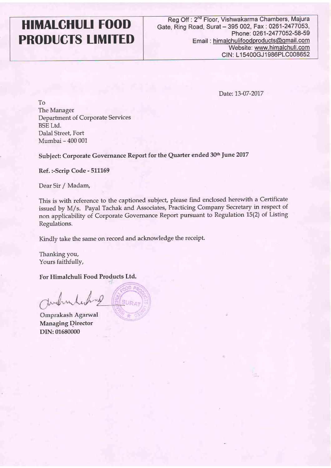## HIMALCHULI FOOD PRODUCTS LIMITED

Date: 13-07-2017

To The Manager Department of Corporate Services BSE Ltd. Dalal Street, Fort Mumbai - 400 001

Subject: Corporate Governance Report for the Quarter ended 30th June 2017

Ref. :-Scrip Code - 511169

Dear Sir / Madam,

This is with reference to the captioned subject, please find enclosed herewith a Certificate issued by M/s. Payal Tachak and Associates, Practicing Company Secretary in respect of non applicability of Corporate Governance Report pursuant to Regulation 15(2) of Listing Regulations.

Kindly take the same on record and acknowledge the receipt.

Thanking you, Yours faithfully,

For Himalchuli Food Products Ltd.

Junchind nO

Omprakash Agarwal Managing Director DIN:01680000